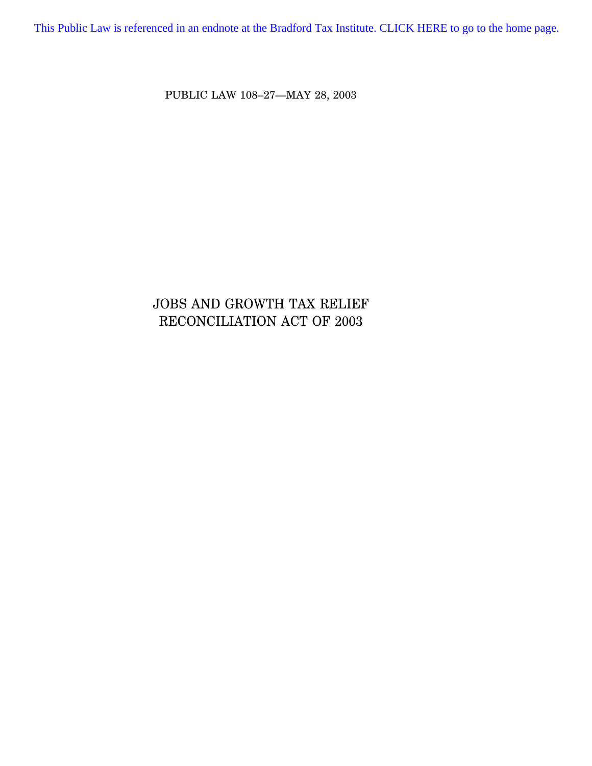[This Public Law is referenced in an endnote at the Bradford Tax Institute. CLICK HERE to go to the home page.](http://www.bradfordtaxinstitute.com/)

PUBLIC LAW 108–27—MAY 28, 2003

# JOBS AND GROWTH TAX RELIEF RECONCILIATION ACT OF 2003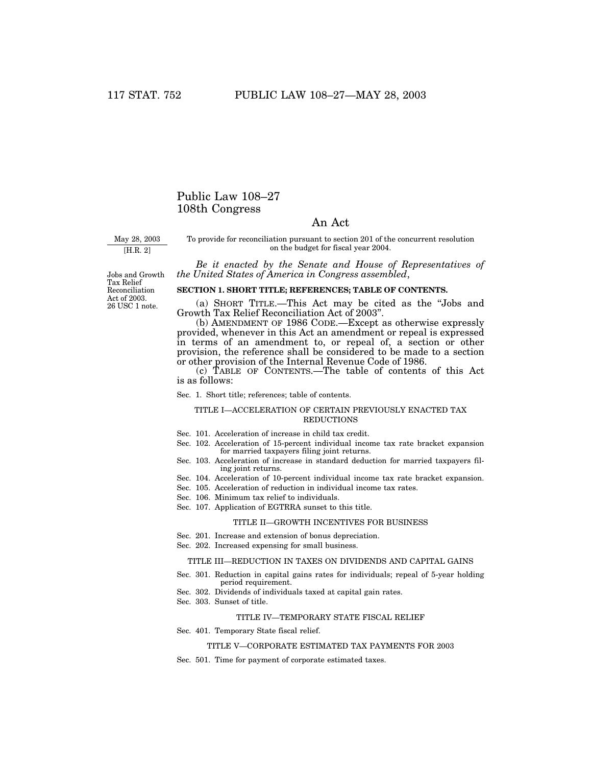### Public Law 108–27 108th Congress

### An Act

May 28, 2003

[H.R. 2]

To provide for reconciliation pursuant to section 201 of the concurrent resolution on the budget for fiscal year 2004.

*Be it enacted by the Senate and House of Representatives of the United States of America in Congress assembled*,

26 USC 1 note. Jobs and Growth Tax Relief Reconciliation Act of 2003.

### **SECTION 1. SHORT TITLE; REFERENCES; TABLE OF CONTENTS.**

(a) SHORT TITLE.—This Act may be cited as the ''Jobs and Growth Tax Relief Reconciliation Act of 2003''.

(b) AMENDMENT OF 1986 CODE.—Except as otherwise expressly provided, whenever in this Act an amendment or repeal is expressed in terms of an amendment to, or repeal of, a section or other provision, the reference shall be considered to be made to a section or other provision of the Internal Revenue Code of 1986.

(c) TABLE OF CONTENTS.—The table of contents of this Act is as follows:

Sec. 1. Short title; references; table of contents.

#### TITLE I—ACCELERATION OF CERTAIN PREVIOUSLY ENACTED TAX REDUCTIONS

- Sec. 101. Acceleration of increase in child tax credit.
- Sec. 102. Acceleration of 15-percent individual income tax rate bracket expansion for married taxpayers filing joint returns.
- Sec. 103. Acceleration of increase in standard deduction for married taxpayers filing joint returns.
- Sec. 104. Acceleration of 10-percent individual income tax rate bracket expansion.
- Sec. 105. Acceleration of reduction in individual income tax rates.
- Sec. 106. Minimum tax relief to individuals.

### TITLE II—GROWTH INCENTIVES FOR BUSINESS

Sec. 201. Increase and extension of bonus depreciation.

Sec. 107. Application of EGTRRA sunset to this title.

Sec. 202. Increased expensing for small business.

#### TITLE III—REDUCTION IN TAXES ON DIVIDENDS AND CAPITAL GAINS

- Sec. 301. Reduction in capital gains rates for individuals; repeal of 5-year holding period requirement.
- Sec. 302. Dividends of individuals taxed at capital gain rates.
- Sec. 303. Sunset of title.

#### TITLE IV—TEMPORARY STATE FISCAL RELIEF

Sec. 401. Temporary State fiscal relief.

#### TITLE V—CORPORATE ESTIMATED TAX PAYMENTS FOR 2003

Sec. 501. Time for payment of corporate estimated taxes.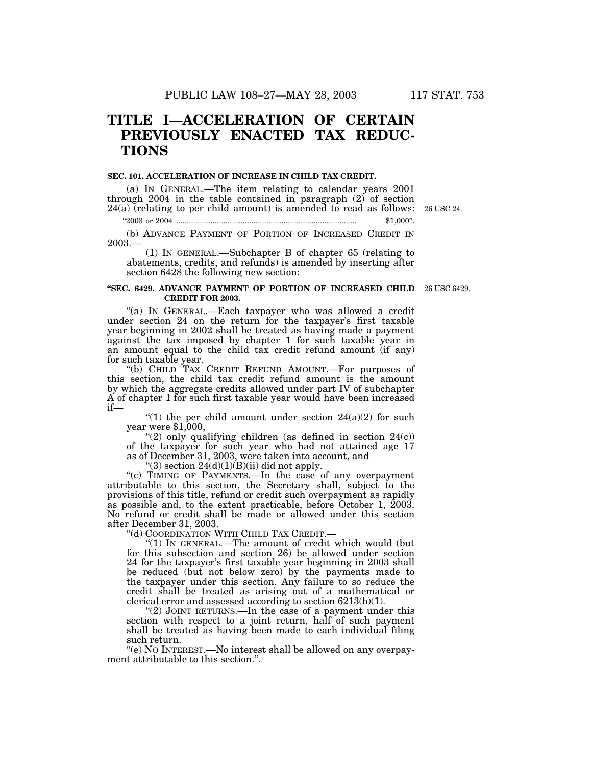# **TITLE I—ACCELERATION OF CERTAIN PREVIOUSLY ENACTED TAX REDUC-TIONS**

#### **SEC. 101. ACCELERATION OF INCREASE IN CHILD TAX CREDIT.**

(a) IN GENERAL.—The item relating to calendar years 2001 through 2004 in the table contained in paragraph (2) of section 24(a) (relating to per child amount) is amended to read as follows: 26 USC 24.

''2003 or 2004 .................................................................................... \$1,000''.

(b) ADVANCE PAYMENT OF PORTION OF INCREASED CREDIT IN 2003.—

(1) IN GENERAL.—Subchapter B of chapter 65 (relating to abatements, credits, and refunds) is amended by inserting after section 6428 the following new section:

#### **''SEC. 6429. ADVANCE PAYMENT OF PORTION OF INCREASED CHILD** 26 USC 6429. **CREDIT FOR 2003.**

"(a) In GENERAL.—Each taxpayer who was allowed a credit under section 24 on the return for the taxpayer's first taxable year beginning in 2002 shall be treated as having made a payment against the tax imposed by chapter 1 for such taxable year in an amount equal to the child tax credit refund amount (if any) for such taxable year.

''(b) CHILD TAX CREDIT REFUND AMOUNT.—For purposes of this section, the child tax credit refund amount is the amount by which the aggregate credits allowed under part IV of subchapter A of chapter 1 for such first taxable year would have been increased if—

"(1) the per child amount under section  $24(a)(2)$  for such year were \$1,000,

"(2) only qualifying children (as defined in section  $24(c)$ ) of the taxpayer for such year who had not attained age 17 as of December 31, 2003, were taken into account, and

" $(3)$  section  $24(d)(1)(B)(ii)$  did not apply.

"(c) TIMING OF PAYMENTS.—In the case of any overpayment attributable to this section, the Secretary shall, subject to the provisions of this title, refund or credit such overpayment as rapidly as possible and, to the extent practicable, before October 1, 2003. No refund or credit shall be made or allowed under this section after December 31, 2003.

''(d) COORDINATION WITH CHILD TAX CREDIT.—

''(1) IN GENERAL.—The amount of credit which would (but for this subsection and section 26) be allowed under section 24 for the taxpayer's first taxable year beginning in 2003 shall be reduced (but not below zero) by the payments made to the taxpayer under this section. Any failure to so reduce the credit shall be treated as arising out of a mathematical or clerical error and assessed according to section 6213(b)(1).

"(2) JOINT RETURNS.—In the case of a payment under this section with respect to a joint return, half of such payment shall be treated as having been made to each individual filing such return.

''(e) NO INTEREST.—No interest shall be allowed on any overpayment attributable to this section.''.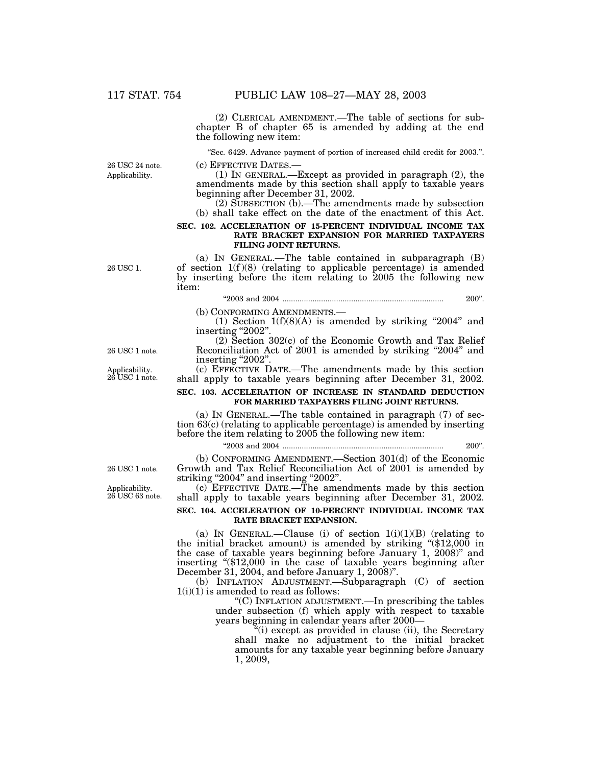(2) CLERICAL AMENDMENT.—The table of sections for subchapter B of chapter 65 is amended by adding at the end the following new item:

''Sec. 6429. Advance payment of portion of increased child credit for 2003.''.

Applicability. 26 USC 24 note.

(c) EFFECTIVE DATES.—<br>(1) IN GENERAL.—Except as provided in paragraph (2), the amendments made by this section shall apply to taxable years beginning after December 31, 2002.

(2) SUBSECTION (b).—The amendments made by subsection (b) shall take effect on the date of the enactment of this Act.

#### **SEC. 102. ACCELERATION OF 15-PERCENT INDIVIDUAL INCOME TAX RATE BRACKET EXPANSION FOR MARRIED TAXPAYERS FILING JOINT RETURNS.**

26 USC 1.

(a) IN GENERAL.—The table contained in subparagraph (B) of section  $1(f)(8)$  (relating to applicable percentage) is amended by inserting before the item relating to 2005 the following new item:

### ''2003 and 2004 ........................................................................... 200''.

(b) CONFORMING AMENDMENTS.— (1) Section 1(f)(8)(A) is amended by striking ''2004'' and inserting "2002".

(2) Section 302(c) of the Economic Growth and Tax Relief Reconciliation Act of 2001 is amended by striking "2004" and inserting "2002".

(c) EFFECTIVE DATE.—The amendments made by this section shall apply to taxable years beginning after December 31, 2002.

### **SEC. 103. ACCELERATION OF INCREASE IN STANDARD DEDUCTION FOR MARRIED TAXPAYERS FILING JOINT RETURNS.**

(a) IN GENERAL.—The table contained in paragraph (7) of section 63(c) (relating to applicable percentage) is amended by inserting before the item relating to 2005 the following new item:

''2003 and 2004 ........................................................................... 200''.

(b) CONFORMING AMENDMENT.—Section 301(d) of the Economic Growth and Tax Relief Reconciliation Act of 2001 is amended by striking "2004" and inserting "2002".

(c) EFFECTIVE DATE.—The amendments made by this section shall apply to taxable years beginning after December 31, 2002.

#### **SEC. 104. ACCELERATION OF 10-PERCENT INDIVIDUAL INCOME TAX RATE BRACKET EXPANSION.**

(a) IN GENERAL.—Clause (i) of section  $1(i)(1)(B)$  (relating to the initial bracket amount) is amended by striking ''(\$12,000 in the case of taxable years beginning before January 1, 2008)'' and inserting "(\$12,000 in the case of taxable years beginning after December 31, 2004, and before January 1, 2008)''.

(b) INFLATION ADJUSTMENT.—Subparagraph (C) of section  $1(i)(1)$  is amended to read as follows:

> ''(C) INFLATION ADJUSTMENT.—In prescribing the tables under subsection (f) which apply with respect to taxable years beginning in calendar years after 2000—

''(i) except as provided in clause (ii), the Secretary shall make no adjustment to the initial bracket amounts for any taxable year beginning before January 1, 2009,

26 USC 1 note.

Applicability. 26 USC 63 note.

26 USC 1 note.

Applicability. 26 USC 1 note.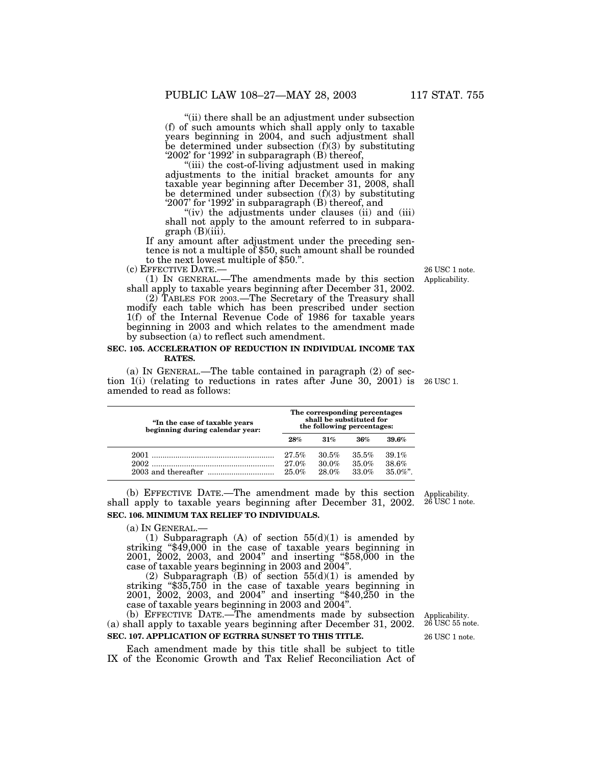''(ii) there shall be an adjustment under subsection (f) of such amounts which shall apply only to taxable years beginning in 2004, and such adjustment shall be determined under subsection  $(f)(3)$  by substituting '2002' for '1992' in subparagraph (B) thereof,

''(iii) the cost-of-living adjustment used in making adjustments to the initial bracket amounts for any taxable year beginning after December 31, 2008, shall be determined under subsection (f)(3) by substituting '2007' for '1992' in subparagraph (B) thereof, and

"(iv) the adjustments under clauses (ii) and (iii) shall not apply to the amount referred to in subpara $graph(B)(iii)$ .

If any amount after adjustment under the preceding sentence is not a multiple of \$50, such amount shall be rounded to the next lowest multiple of \$50.".<br>(c) EFFECTIVE DATE.—

 $(1)$  In GENERAL.—The amendments made by this section shall apply to taxable years beginning after December 31, 2002.

(2) TABLES FOR 2003.—The Secretary of the Treasury shall modify each table which has been prescribed under section 1(f) of the Internal Revenue Code of 1986 for taxable years beginning in 2003 and which relates to the amendment made by subsection (a) to reflect such amendment.

#### **SEC. 105. ACCELERATION OF REDUCTION IN INDIVIDUAL INCOME TAX RATES.**

(a) IN GENERAL.—The table contained in paragraph (2) of section 1(i) (relating to reductions in rates after June 30, 2001) is 26 USC 1. amended to read as follows:

| "In the case of taxable years<br>beginning during calendar year: | The corresponding percentages<br>shall be substituted for<br>the following percentages: |                            |                         |                               |
|------------------------------------------------------------------|-----------------------------------------------------------------------------------------|----------------------------|-------------------------|-------------------------------|
|                                                                  | 28%                                                                                     | 31%                        | 36%                     | 39.6%                         |
| 2002                                                             | 27.5%<br>27.0%<br>25.0%                                                                 | 30.5%<br>$30.0\%$<br>28.0% | 35.5%<br>35.0%<br>33.0% | 39.1%<br>38.6%<br>$35.0\%$ ". |

(b) EFFECTIVE DATE.—The amendment made by this section shall apply to taxable years beginning after December 31, 2002. **SEC. 106. MINIMUM TAX RELIEF TO INDIVIDUALS.**

(a) IN GENERAL.—<br>(1) Subparagraph (A) of section  $55(d)(1)$  is amended by striking "\$49,000 in the case of taxable years beginning in 2001, 2002, 2003, and 2004'' and inserting ''\$58,000 in the case of taxable years beginning in 2003 and 2004''.

(2) Subparagraph (B) of section  $55(d)(1)$  is amended by striking "\$35,750 in the case of taxable years beginning in 2001, 2002, 2003, and 2004'' and inserting ''\$40,250 in the case of taxable years beginning in 2003 and 2004''.

(b) EFFECTIVE DATE.—The amendments made by subsection (a) shall apply to taxable years beginning after December 31, 2002. **SEC. 107. APPLICATION OF EGTRRA SUNSET TO THIS TITLE.**

Each amendment made by this title shall be subject to title IX of the Economic Growth and Tax Relief Reconciliation Act of

26 USC 1 note. Applicability. 26 USC 55 note.

Applicability. 26 USC 1 note.

Applicability. 26 USC 1 note.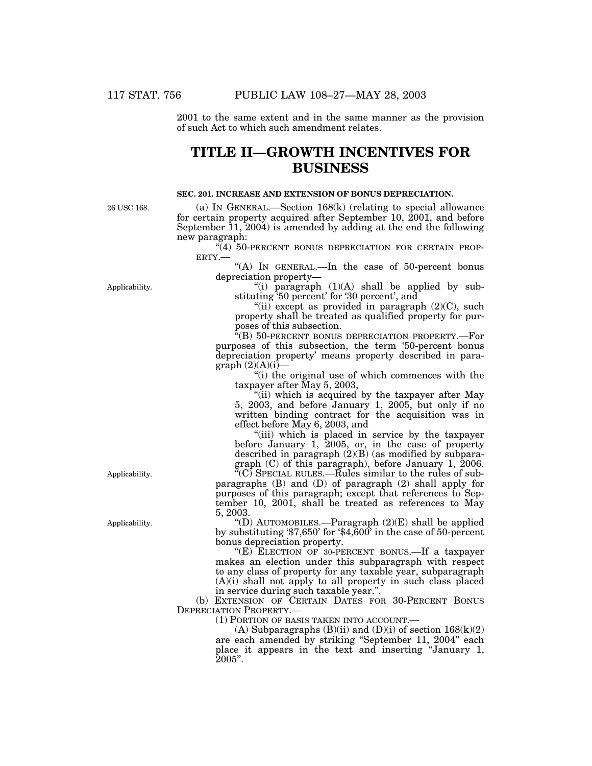2001 to the same extent and in the same manner as the provision of such Act to which such amendment relates.

## **TITLE II—GROWTH INCENTIVES FOR BUSINESS**

#### **SEC. 201. INCREASE AND EXTENSION OF BONUS DEPRECIATION.**

26 USC 168.

(a) IN GENERAL.—Section 168(k) (relating to special allowance for certain property acquired after September 10, 2001, and before September 11, 2004) is amended by adding at the end the following new paragraph:

 $\sqrt[4]{(4)}$  50-PERCENT BONUS DEPRECIATION FOR CERTAIN PROP-ERTY.—

"(A) IN GENERAL.—In the case of 50-percent bonus depreciation property—

''(i) paragraph (1)(A) shall be applied by substituting '50 percent' for '30 percent', and

"(ii) except as provided in paragraph  $(2)(C)$ , such property shall be treated as qualified property for purposes of this subsection.

''(B) 50-PERCENT BONUS DEPRECIATION PROPERTY.—For purposes of this subsection, the term '50-percent bonus depreciation property' means property described in paragraph  $(2)(A)(i)$ 

''(i) the original use of which commences with the taxpayer after May 5, 2003,

''(ii) which is acquired by the taxpayer after May 5, 2003, and before January 1, 2005, but only if no written binding contract for the acquisition was in effect before May 6, 2003, and

''(iii) which is placed in service by the taxpayer before January 1, 2005, or, in the case of property described in paragraph  $(2)(B)$  (as modified by subparagraph (C) of this paragraph), before January 1, 2006.

''(C) SPECIAL RULES.—Rules similar to the rules of subparagraphs (B) and (D) of paragraph (2) shall apply for purposes of this paragraph; except that references to September 10, 2001, shall be treated as references to May 5, 2003.

"(D) AUTOMOBILES.—Paragraph  $(2)(E)$  shall be applied by substituting '\$7,650' for '\$4,600' in the case of 50-percent bonus depreciation property.

"(E) ELECTION OF 30-PERCENT BONUS.—If a taxpayer makes an election under this subparagraph with respect to any class of property for any taxable year, subparagraph  $(A)(i)$  shall not apply to all property in such class placed in service during such taxable year.''.

(b) EXTENSION OF CERTAIN DATES FOR 30-PERCENT BONUS DEPRECIATION PROPERTY.—

(1) PORTION OF BASIS TAKEN INTO ACCOUNT.—

(A) Subparagraphs  $(B)(ii)$  and  $(D)(i)$  of section  $168(k)(2)$ are each amended by striking ''September 11, 2004'' each place it appears in the text and inserting ''January 1,  $2005$ ".

Applicability.

Applicability.

Applicability.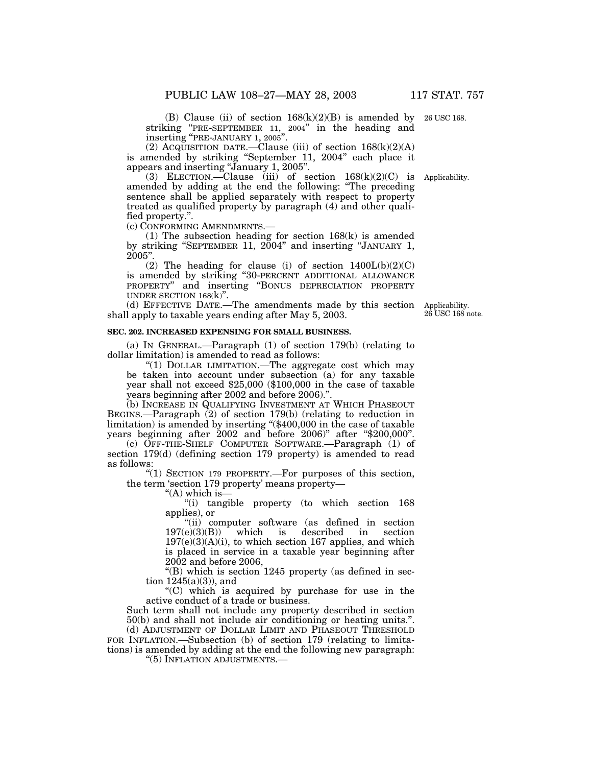(B) Clause (ii) of section  $168(k)(2)(B)$  is amended by 26 USC 168. striking ''PRE-SEPTEMBER 11, 2004'' in the heading and inserting ''PRE-JANUARY 1, 2005''.

(2) Acquisition date.—Clause (iii) of section  $168(k)(2)(A)$ is amended by striking "September 11, 2004" each place it appears and inserting ''January 1, 2005''.

(3) ELECTION.—Clause (iii) of section  $168(k)(2)(C)$  is Applicability. amended by adding at the end the following: ''The preceding sentence shall be applied separately with respect to property treated as qualified property by paragraph (4) and other qualified property.''.

(c) CONFORMING AMENDMENTS.—

(1) The subsection heading for section 168(k) is amended by striking "SEPTEMBER 11, 2004" and inserting "JANUARY 1, 2005''.

(2) The heading for clause (i) of section  $1400L(b)(2)(C)$ is amended by striking ''30-PERCENT ADDITIONAL ALLOWANCE PROPERTY'' and inserting ''BONUS DEPRECIATION PROPERTY UNDER SECTION 168(k)''.

(d) EFFECTIVE DATE.—The amendments made by this section shall apply to taxable years ending after May 5, 2003.

#### **SEC. 202. INCREASED EXPENSING FOR SMALL BUSINESS.**

(a) IN GENERAL.—Paragraph (1) of section 179(b) (relating to dollar limitation) is amended to read as follows:

''(1) DOLLAR LIMITATION.—The aggregate cost which may be taken into account under subsection (a) for any taxable year shall not exceed \$25,000 (\$100,000 in the case of taxable years beginning after 2002 and before 2006).''.

(b) INCREASE IN QUALIFYING INVESTMENT AT WHICH PHASEOUT BEGINS.—Paragraph (2) of section 179(b) (relating to reduction in limitation) is amended by inserting ''(\$400,000 in the case of taxable years beginning after 2002 and before 2006)'' after ''\$200,000''.

(c) OFF-THE-SHELF COMPUTER SOFTWARE.—Paragraph (1) of section 179(d) (defining section 179 property) is amended to read as follows:

''(1) SECTION 179 PROPERTY.—For purposes of this section, the term 'section 179 property' means property—

" $(A)$  which is-

''(i) tangible property (to which section 168 applies), or

"(ii) computer software (as defined in section<br>e)(3)(B)) which is described in section 197(e)(3)(B)) which is described in section  $197(e)(3)(A)(i)$ , to which section 167 applies, and which is placed in service in a taxable year beginning after 2002 and before 2006,

''(B) which is section 1245 property (as defined in section  $1245(a)(3)$ , and

''(C) which is acquired by purchase for use in the active conduct of a trade or business.

Such term shall not include any property described in section 50(b) and shall not include air conditioning or heating units.''.

(d) ADJUSTMENT OF DOLLAR LIMIT AND PHASEOUT THRESHOLD FOR INFLATION.—Subsection (b) of section 179 (relating to limitations) is amended by adding at the end the following new paragraph:

''(5) INFLATION ADJUSTMENTS.—

Applicability. 26 USC 168 note.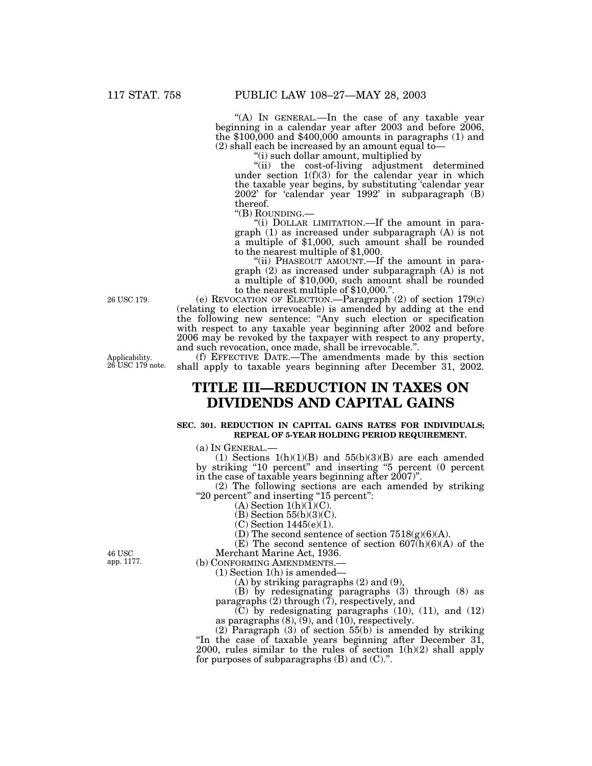"(A) In GENERAL.—In the case of any taxable year beginning in a calendar year after 2003 and before 2006, the \$100,000 and \$400,000 amounts in paragraphs (1) and (2) shall each be increased by an amount equal to—

''(i) such dollar amount, multiplied by

''(ii) the cost-of-living adjustment determined under section 1(f)(3) for the calendar year in which the taxable year begins, by substituting 'calendar year 2002' for 'calendar year 1992' in subparagraph (B) thereof.<br>"(B) ROUNDING.–

"(i) DOLLAR LIMITATION.—If the amount in paragraph (1) as increased under subparagraph (A) is not a multiple of \$1,000, such amount shall be rounded to the nearest multiple of \$1,000.

"(ii) PHASEOUT AMOUNT.—If the amount in paragraph (2) as increased under subparagraph (A) is not a multiple of \$10,000, such amount shall be rounded to the nearest multiple of \$10,000."

(e) REVOCATION OF ELECTION.—Paragraph (2) of section 179(c) (relating to election irrevocable) is amended by adding at the end the following new sentence: ''Any such election or specification with respect to any taxable year beginning after 2002 and before 2006 may be revoked by the taxpayer with respect to any property, and such revocation, once made, shall be irrevocable.''.

(f) EFFECTIVE DATE.—The amendments made by this section shall apply to taxable years beginning after December 31, 2002.

# **TITLE III—REDUCTION IN TAXES ON DIVIDENDS AND CAPITAL GAINS**

#### **SEC. 301. REDUCTION IN CAPITAL GAINS RATES FOR INDIVIDUALS; REPEAL OF 5-YEAR HOLDING PERIOD REQUIREMENT.**

(a) IN GENERAL.—<br>(1) Sections 1(h)(1)(B) and 55(b)(3)(B) are each amended by striking ''10 percent'' and inserting ''5 percent (0 percent in the case of taxable years beginning after 2007)''.

(2) The following sections are each amended by striking ''20 percent'' and inserting ''15 percent'':

 $(A)$  Section  $1(h)(1)(C)$ .

(B) Section 55(b)(3)(C).

(C) Section 1445(e)(1).

(D) The second sentence of section  $7518(g)(6)(A)$ .

(E) The second sentence of section  $607(h)(6)(A)$  of the Merchant Marine Act, 1936.

(b) CONFORMING AMENDMENTS.— (1) Section 1(h) is amended—

(A) by striking paragraphs (2) and (9),

(B) by redesignating paragraphs (3) through (8) as paragraphs (2) through (7), respectively, and

(C) by redesignating paragraphs (10), (11), and (12) as paragraphs (8), (9), and (10), respectively.

(2) Paragraph (3) of section 55(b) is amended by striking ''In the case of taxable years beginning after December 31, 2000, rules similar to the rules of section 1(h)(2) shall apply for purposes of subparagraphs (B) and (C).''.

46 USC app. 1177.

26 USC 179.

Applicability. 26 USC 179 note.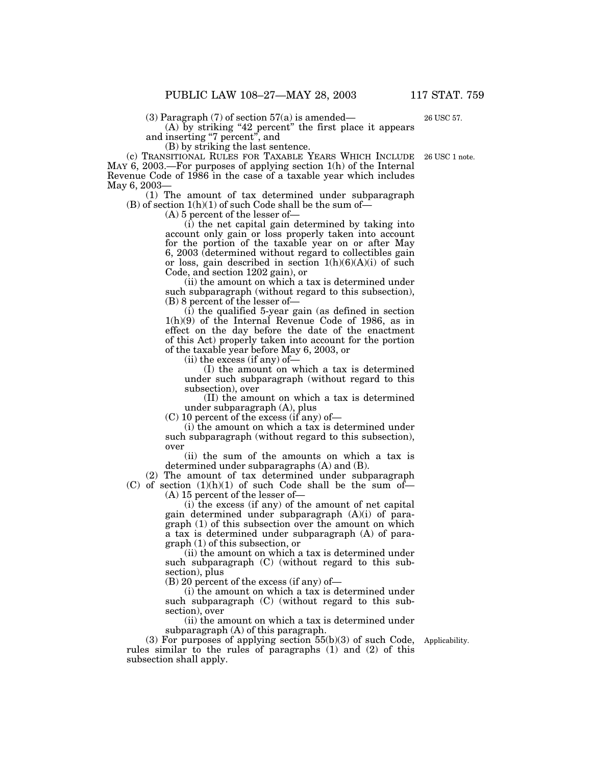(3) Paragraph  $(7)$  of section  $57(a)$  is amended—

(A) by striking ''42 percent'' the first place it appears and inserting ''7 percent'', and

(B) by striking the last sentence.

(c) TRANSITIONAL RULES FOR TAXABLE YEARS WHICH INCLUDE MAY 6, 2003.—For purposes of applying section 1(h) of the Internal Revenue Code of 1986 in the case of a taxable year which includes May 6, 2003—

(1) The amount of tax determined under subparagraph (B) of section  $1(h)(1)$  of such Code shall be the sum of-

(A) 5 percent of the lesser of—

(i) the net capital gain determined by taking into account only gain or loss properly taken into account for the portion of the taxable year on or after May 6, 2003 (determined without regard to collectibles gain or loss, gain described in section  $1(h)(6)(A)(i)$  of such Code, and section 1202 gain), or

(ii) the amount on which a tax is determined under such subparagraph (without regard to this subsection), (B) 8 percent of the lesser of—

(i) the qualified 5-year gain (as defined in section 1(h)(9) of the Internal Revenue Code of 1986, as in effect on the day before the date of the enactment of this Act) properly taken into account for the portion of the taxable year before May 6, 2003, or

(ii) the excess (if any) of—

(I) the amount on which a tax is determined under such subparagraph (without regard to this subsection), over

(II) the amount on which a tax is determined under subparagraph (A), plus

(C) 10 percent of the excess (if any) of—

(i) the amount on which a tax is determined under such subparagraph (without regard to this subsection), over

(ii) the sum of the amounts on which a tax is determined under subparagraphs (A) and (B).

(2) The amount of tax determined under subparagraph (C) of section  $(1)(h)(1)$  of such Code shall be the sum of-

(A) 15 percent of the lesser of—

(i) the excess (if any) of the amount of net capital gain determined under subparagraph (A)(i) of paragraph (1) of this subsection over the amount on which a tax is determined under subparagraph (A) of paragraph (1) of this subsection, or

(ii) the amount on which a tax is determined under such subparagraph (C) (without regard to this subsection), plus

(B) 20 percent of the excess (if any) of—

(i) the amount on which a tax is determined under such subparagraph (C) (without regard to this subsection), over

(ii) the amount on which a tax is determined under subparagraph (A) of this paragraph.

 $(3)$  For purposes of applying section  $55(b)(3)$  of such Code, rules similar to the rules of paragraphs (1) and (2) of this subsection shall apply.

Applicability.

26 USC 1 note.

26 USC 57.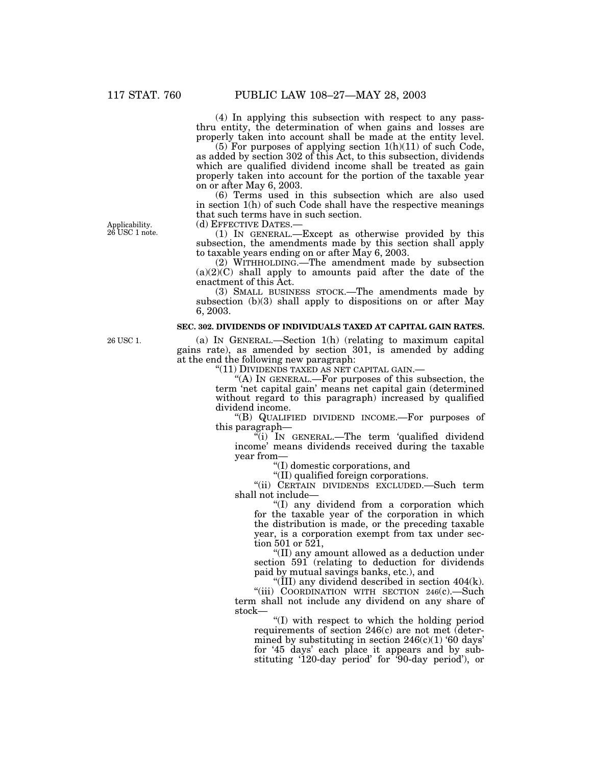(4) In applying this subsection with respect to any passthru entity, the determination of when gains and losses are properly taken into account shall be made at the entity level.

 $(5)$  For purposes of applying section  $1(h)(11)$  of such Code, as added by section 302 of this Act, to this subsection, dividends which are qualified dividend income shall be treated as gain properly taken into account for the portion of the taxable year on or after May 6, 2003.

(6) Terms used in this subsection which are also used in section 1(h) of such Code shall have the respective meanings that such terms have in such section.

Applicability. 26 USC 1 note. (d) EFFECTIVE DATES.—

(1) IN GENERAL.—Except as otherwise provided by this subsection, the amendments made by this section shall apply to taxable years ending on or after May 6, 2003.

(2) WITHHOLDING.—The amendment made by subsection  $(a)(2)(C)$  shall apply to amounts paid after the date of the enactment of this Act.

(3) SMALL BUSINESS STOCK.—The amendments made by subsection (b)(3) shall apply to dispositions on or after May 6, 2003.

#### **SEC. 302. DIVIDENDS OF INDIVIDUALS TAXED AT CAPITAL GAIN RATES.**

(a) IN GENERAL.—Section 1(h) (relating to maximum capital

gains rate), as amended by section 301, is amended by adding at the end the following new paragraph:

''(11) DIVIDENDS TAXED AS NET CAPITAL GAIN.— ''(A) IN GENERAL.—For purposes of this subsection, the term 'net capital gain' means net capital gain (determined without regard to this paragraph) increased by qualified dividend income.

''(B) QUALIFIED DIVIDEND INCOME.—For purposes of this paragraph—

''(i) IN GENERAL.—The term 'qualified dividend income' means dividends received during the taxable year from—

''(I) domestic corporations, and

''(II) qualified foreign corporations.

''(ii) CERTAIN DIVIDENDS EXCLUDED.—Such term shall not include—

''(I) any dividend from a corporation which for the taxable year of the corporation in which the distribution is made, or the preceding taxable year, is a corporation exempt from tax under section 501 or 521,

''(II) any amount allowed as a deduction under section 591 (relating to deduction for dividends paid by mutual savings banks, etc.), and

"(III) any dividend described in section  $404(k)$ .

''(iii) COORDINATION WITH SECTION 246(c).—Such term shall not include any dividend on any share of stock—

''(I) with respect to which the holding period requirements of section 246(c) are not met (determined by substituting in section  $246(c)(1)$  '60 days' for '45 days' each place it appears and by substituting '120-day period' for '90-day period'), or

26 USC 1.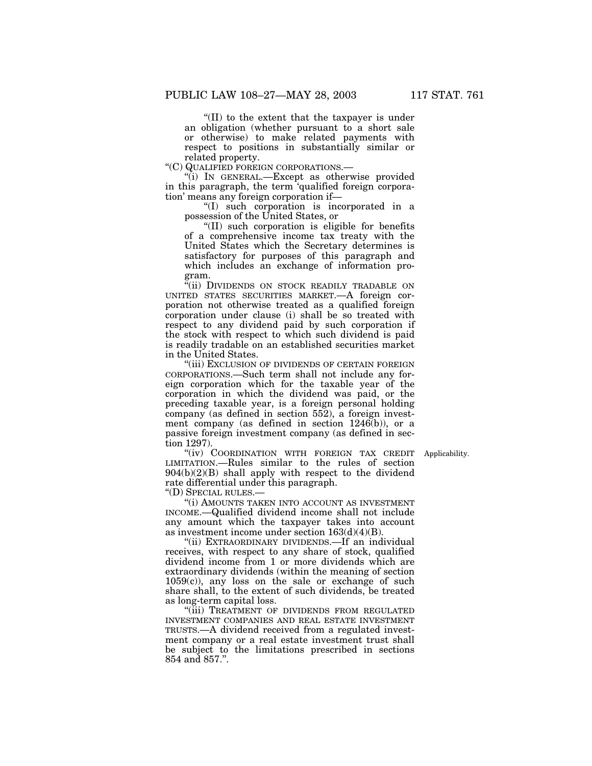''(II) to the extent that the taxpayer is under an obligation (whether pursuant to a short sale or otherwise) to make related payments with respect to positions in substantially similar or related property.

''(C) QUALIFIED FOREIGN CORPORATIONS.—

''(i) IN GENERAL.—Except as otherwise provided in this paragraph, the term 'qualified foreign corporation' means any foreign corporation if—

''(I) such corporation is incorporated in a possession of the United States, or

''(II) such corporation is eligible for benefits of a comprehensive income tax treaty with the United States which the Secretary determines is satisfactory for purposes of this paragraph and which includes an exchange of information program.

"(ii) DIVIDENDS ON STOCK READILY TRADABLE ON UNITED STATES SECURITIES MARKET.—A foreign corporation not otherwise treated as a qualified foreign corporation under clause (i) shall be so treated with respect to any dividend paid by such corporation if the stock with respect to which such dividend is paid is readily tradable on an established securities market in the United States.

''(iii) EXCLUSION OF DIVIDENDS OF CERTAIN FOREIGN CORPORATIONS.—Such term shall not include any foreign corporation which for the taxable year of the corporation in which the dividend was paid, or the preceding taxable year, is a foreign personal holding company (as defined in section 552), a foreign investment company (as defined in section 1246(b)), or a passive foreign investment company (as defined in section 1297).

"(iv) COORDINATION WITH FOREIGN TAX CREDIT Applicability. LIMITATION.—Rules similar to the rules of section 904(b)(2)(B) shall apply with respect to the dividend rate differential under this paragraph.

''(D) SPECIAL RULES.—

''(i) AMOUNTS TAKEN INTO ACCOUNT AS INVESTMENT INCOME.—Qualified dividend income shall not include any amount which the taxpayer takes into account as investment income under section 163(d)(4)(B).

''(ii) EXTRAORDINARY DIVIDENDS.—If an individual receives, with respect to any share of stock, qualified dividend income from 1 or more dividends which are extraordinary dividends (within the meaning of section  $1059(c)$ , any loss on the sale or exchange of such share shall, to the extent of such dividends, be treated as long-term capital loss.

"(iii) TREATMENT OF DIVIDENDS FROM REGULATED INVESTMENT COMPANIES AND REAL ESTATE INVESTMENT TRUSTS.—A dividend received from a regulated investment company or a real estate investment trust shall be subject to the limitations prescribed in sections 854 and 857.''.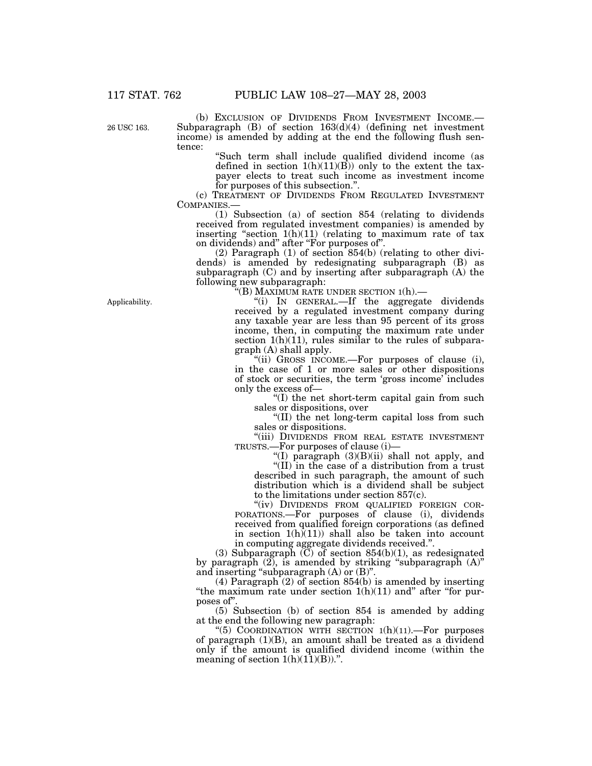26 USC 163.

(b) EXCLUSION OF DIVIDENDS FROM INVESTMENT INCOME.— Subparagraph (B) of section 163(d)(4) (defining net investment income) is amended by adding at the end the following flush sentence:

> ''Such term shall include qualified dividend income (as defined in section  $1(h)(11)(\overline{B})$  only to the extent the taxpayer elects to treat such income as investment income for purposes of this subsection.''.

(c) TREATMENT OF DIVIDENDS FROM REGULATED INVESTMENT COMPANIES.—

(1) Subsection (a) of section 854 (relating to dividends received from regulated investment companies) is amended by inserting "section  $1(h)(11)$  (relating to maximum rate of tax on dividends) and'' after ''For purposes of''.

(2) Paragraph (1) of section 854(b) (relating to other dividends) is amended by redesignating subparagraph (B) as subparagraph (C) and by inserting after subparagraph (A) the following new subparagraph:

''(B) MAXIMUM RATE UNDER SECTION 1(h).—

''(i) IN GENERAL.—If the aggregate dividends received by a regulated investment company during any taxable year are less than 95 percent of its gross income, then, in computing the maximum rate under section  $1(h)(11)$ , rules similar to the rules of subparagraph (A) shall apply.

''(ii) GROSS INCOME.—For purposes of clause (i), in the case of 1 or more sales or other dispositions of stock or securities, the term 'gross income' includes only the excess of—

 $f(T)$  the net short-term capital gain from such sales or dispositions, over

''(II) the net long-term capital loss from such sales or dispositions.

''(iii) DIVIDENDS FROM REAL ESTATE INVESTMENT TRUSTS.—For purposes of clause (i)—

"(I) paragraph  $(3)(B)(ii)$  shall not apply, and

''(II) in the case of a distribution from a trust described in such paragraph, the amount of such distribution which is a dividend shall be subject to the limitations under section 857(c).

''(iv) DIVIDENDS FROM QUALIFIED FOREIGN COR-PORATIONS.—For purposes of clause (i), dividends received from qualified foreign corporations (as defined in section  $1(h)(11)$  shall also be taken into account in computing aggregate dividends received.''.

(3) Subparagraph  $(C)$  of section 854(b)(1), as redesignated by paragraph (2), is amended by striking "subparagraph (A)" and inserting "subparagraph  $(A)$  or  $(B)$ ".

(4) Paragraph (2) of section 854(b) is amended by inserting "the maximum rate under section  $1(h)(11)$  and" after "for purposes of''.

(5) Subsection (b) of section 854 is amended by adding at the end the following new paragraph:

"(5) COORDINATION WITH SECTION  $1(h)(11)$ . For purposes of paragraph (1)(B), an amount shall be treated as a dividend only if the amount is qualified dividend income (within the meaning of section  $1(h)(1\bar{1})(B))$ .".

Applicability.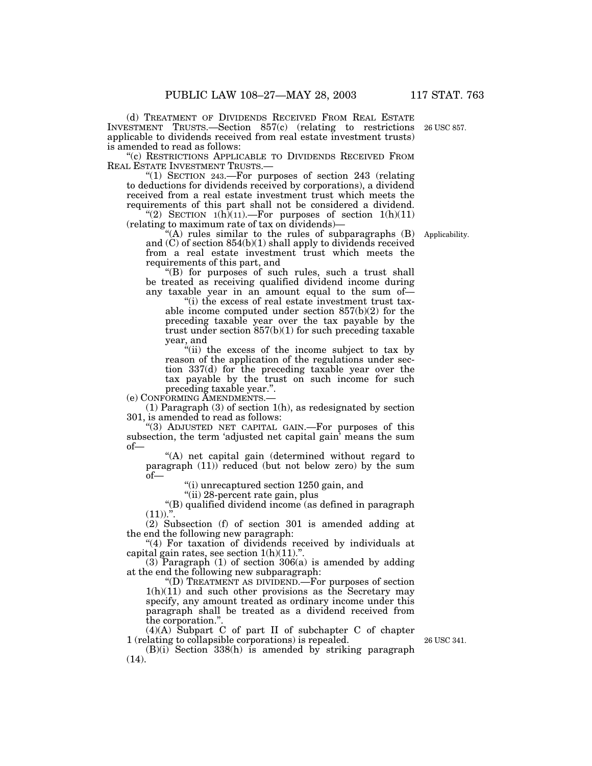(d) TREATMENT OF DIVIDENDS RECEIVED FROM REAL ESTATE INVESTMENT TRUSTS.—Section 857(c) (relating to restrictions applicable to dividends received from real estate investment trusts) is amended to read as follows: 26 USC 857.

"(c) RESTRICTIONS APPLICABLE TO DIVIDENDS RECEIVED FROM REAL ESTATE INVESTMENT TRUSTS.—

''(1) SECTION 243.—For purposes of section 243 (relating to deductions for dividends received by corporations), a dividend received from a real estate investment trust which meets the requirements of this part shall not be considered a dividend.

 $\text{C}(2)$  SECTION 1(h)(11). For purposes of section 1(h)(11) (relating to maximum rate of tax on dividends)—

''(A) rules similar to the rules of subparagraphs (B) and (C) of section 854(b)(1) shall apply to dividends received from a real estate investment trust which meets the requirements of this part, and

''(B) for purposes of such rules, such a trust shall be treated as receiving qualified dividend income during any taxable year in an amount equal to the sum of-

''(i) the excess of real estate investment trust taxable income computed under section 857(b)(2) for the preceding taxable year over the tax payable by the trust under section 857(b)(1) for such preceding taxable year, and

''(ii) the excess of the income subject to tax by reason of the application of the regulations under section 337(d) for the preceding taxable year over the tax payable by the trust on such income for such preceding taxable year.''.

(e) CONFORMING AMENDMENTS.—

(1) Paragraph (3) of section 1(h), as redesignated by section 301, is amended to read as follows:

''(3) ADJUSTED NET CAPITAL GAIN.—For purposes of this subsection, the term 'adjusted net capital gain' means the sum of—

''(A) net capital gain (determined without regard to paragraph (11)) reduced (but not below zero) by the sum of—

(i) unrecaptured section 1250 gain, and

''(ii) 28-percent rate gain, plus

''(B) qualified dividend income (as defined in paragraph  $(11)$ .".

(2) Subsection (f) of section 301 is amended adding at the end the following new paragraph:

"(4) For taxation of dividends received by individuals at capital gain rates, see section  $1(h)(11)$ .".

(3) Paragraph (1) of section 306(a) is amended by adding at the end the following new subparagraph:

''(D) TREATMENT AS DIVIDEND.—For purposes of section  $1(h)(11)$  and such other provisions as the Secretary may specify, any amount treated as ordinary income under this paragraph shall be treated as a dividend received from the corporation."

(4)(A) Subpart C of part II of subchapter C of chapter 1 (relating to collapsible corporations) is repealed.

(B)(i) Section 338(h) is amended by striking paragraph  $(14)$ .

26 USC 341.

Applicability.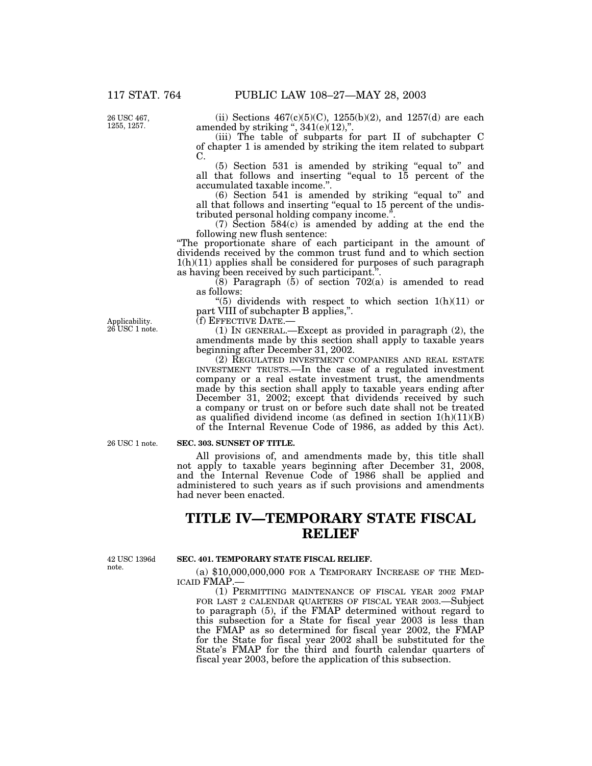26 USC 467, 1255, 1257.

(ii) Sections  $467(c)(5)(C)$ ,  $1255(b)(2)$ , and  $1257(d)$  are each amended by striking ",  $341(e)(12)$ ,".

(iii) The table of subparts for part II of subchapter C of chapter 1 is amended by striking the item related to subpart C.

(5) Section 531 is amended by striking ''equal to'' and all that follows and inserting ''equal to 15 percent of the accumulated taxable income.''.

(6) Section 541 is amended by striking ''equal to'' and all that follows and inserting "equal to 15 percent of the undistributed personal holding company income.''.

(7) Section 584(c) is amended by adding at the end the following new flush sentence:

''The proportionate share of each participant in the amount of dividends received by the common trust fund and to which section  $1(h)(11)$  applies shall be considered for purposes of such paragraph as having been received by such participant.''.

 $(8)$  Paragraph  $(5)$  of section 702(a) is amended to read as follows:

"(5) dividends with respect to which section  $1(h)(11)$  or part VIII of subchapter B applies,''.

Applicability. 26 USC 1 note. (f) EFFECTIVE DATE.—

(1) IN GENERAL.—Except as provided in paragraph (2), the amendments made by this section shall apply to taxable years beginning after December 31, 2002.

(2) REGULATED INVESTMENT COMPANIES AND REAL ESTATE INVESTMENT TRUSTS.—In the case of a regulated investment company or a real estate investment trust, the amendments made by this section shall apply to taxable years ending after December 31, 2002; except that dividends received by such a company or trust on or before such date shall not be treated as qualified dividend income (as defined in section 1(h)(11)(B) of the Internal Revenue Code of 1986, as added by this Act).

26 USC 1 note.

#### **SEC. 303. SUNSET OF TITLE.**

All provisions of, and amendments made by, this title shall not apply to taxable years beginning after December 31, 2008, and the Internal Revenue Code of 1986 shall be applied and administered to such years as if such provisions and amendments had never been enacted.

# **TITLE IV—TEMPORARY STATE FISCAL RELIEF**

42 USC 1396d note.

#### **SEC. 401. TEMPORARY STATE FISCAL RELIEF.**

(a) \$10,000,000,000 FOR A TEMPORARY INCREASE OF THE MED-ICAID FMAP.

(1) PERMITTING MAINTENANCE OF FISCAL YEAR 2002 FMAP FOR LAST 2 CALENDAR QUARTERS OF FISCAL YEAR 2003.—Subject to paragraph (5), if the FMAP determined without regard to this subsection for a State for fiscal year 2003 is less than the FMAP as so determined for fiscal year 2002, the FMAP for the State for fiscal year 2002 shall be substituted for the State's FMAP for the third and fourth calendar quarters of fiscal year 2003, before the application of this subsection.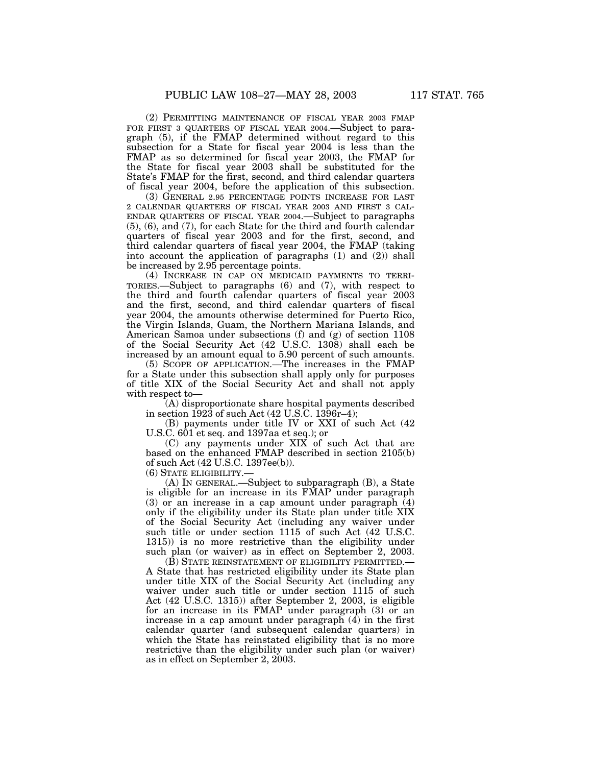(2) PERMITTING MAINTENANCE OF FISCAL YEAR 2003 FMAP FOR FIRST 3 QUARTERS OF FISCAL YEAR 2004. Subject to paragraph (5), if the FMAP determined without regard to this subsection for a State for fiscal year 2004 is less than the FMAP as so determined for fiscal year 2003, the FMAP for the State for fiscal year 2003 shall be substituted for the State's FMAP for the first, second, and third calendar quarters of fiscal year 2004, before the application of this subsection.

(3) GENERAL 2.95 PERCENTAGE POINTS INCREASE FOR LAST 2 CALENDAR QUARTERS OF FISCAL YEAR 2003 AND FIRST 3 CAL-ENDAR QUARTERS OF FISCAL YEAR 2004.—Subject to paragraphs (5), (6), and (7), for each State for the third and fourth calendar quarters of fiscal year 2003 and for the first, second, and third calendar quarters of fiscal year 2004, the FMAP (taking into account the application of paragraphs (1) and (2)) shall be increased by 2.95 percentage points.

(4) INCREASE IN CAP ON MEDICAID PAYMENTS TO TERRI-TORIES.—Subject to paragraphs (6) and (7), with respect to the third and fourth calendar quarters of fiscal year 2003 and the first, second, and third calendar quarters of fiscal year 2004, the amounts otherwise determined for Puerto Rico, the Virgin Islands, Guam, the Northern Mariana Islands, and American Samoa under subsections (f) and (g) of section 1108 of the Social Security Act (42 U.S.C. 1308) shall each be increased by an amount equal to 5.90 percent of such amounts.

(5) SCOPE OF APPLICATION.—The increases in the FMAP for a State under this subsection shall apply only for purposes of title XIX of the Social Security Act and shall not apply with respect to—

(A) disproportionate share hospital payments described in section 1923 of such Act (42 U.S.C. 1396r–4);

(B) payments under title IV or XXI of such Act (42 U.S.C. 601 et seq. and 1397aa et seq.); or

(C) any payments under XIX of such Act that are based on the enhanced FMAP described in section 2105(b) of such Act (42 U.S.C. 1397ee(b)).

(6) STATE ELIGIBILITY.—

(A) IN GENERAL.—Subject to subparagraph (B), a State is eligible for an increase in its FMAP under paragraph (3) or an increase in a cap amount under paragraph (4) only if the eligibility under its State plan under title XIX of the Social Security Act (including any waiver under such title or under section 1115 of such Act (42 U.S.C. 1315)) is no more restrictive than the eligibility under such plan (or waiver) as in effect on September 2, 2003.

(B) STATE REINSTATEMENT OF ELIGIBILITY PERMITTED.— A State that has restricted eligibility under its State plan under title XIX of the Social Security Act (including any waiver under such title or under section 1115 of such Act (42 U.S.C. 1315)) after September 2, 2003, is eligible for an increase in its FMAP under paragraph (3) or an increase in a cap amount under paragraph (4) in the first calendar quarter (and subsequent calendar quarters) in which the State has reinstated eligibility that is no more restrictive than the eligibility under such plan (or waiver) as in effect on September 2, 2003.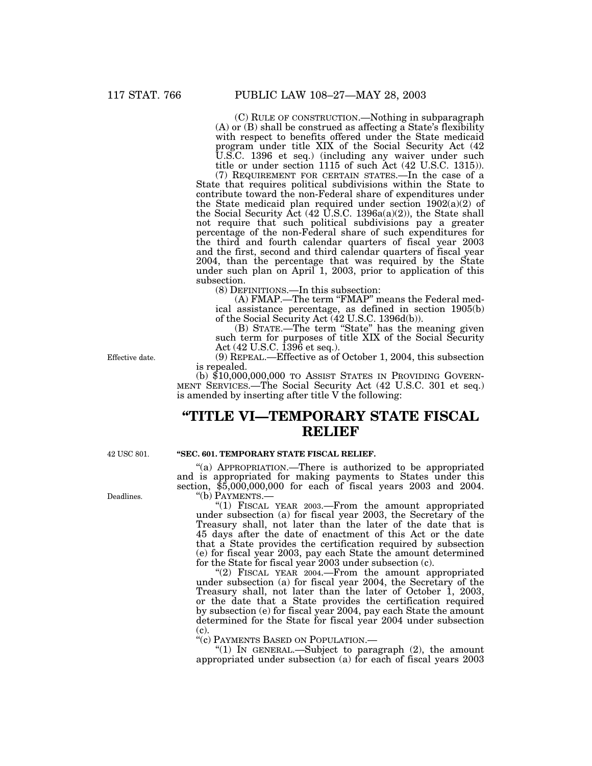(C) RULE OF CONSTRUCTION.—Nothing in subparagraph (A) or (B) shall be construed as affecting a State's flexibility with respect to benefits offered under the State medicaid program under title XIX of the Social Security Act (42 U.S.C. 1396 et seq.) (including any waiver under such title or under section 1115 of such Act (42 U.S.C. 1315)).

(7) REQUIREMENT FOR CERTAIN STATES.—In the case of a State that requires political subdivisions within the State to contribute toward the non-Federal share of expenditures under the State medicaid plan required under section 1902(a)(2) of the Social Security Act  $(42 \text{ U.S.C. } 1396a(a)(2))$ , the State shall not require that such political subdivisions pay a greater percentage of the non-Federal share of such expenditures for the third and fourth calendar quarters of fiscal year 2003 and the first, second and third calendar quarters of fiscal year 2004, than the percentage that was required by the State under such plan on April 1, 2003, prior to application of this subsection.

(8) DEFINITIONS.—In this subsection:

(A) FMAP.—The term ''FMAP'' means the Federal medical assistance percentage, as defined in section 1905(b) of the Social Security Act (42 U.S.C. 1396d(b)).

(B) STATE.—The term ''State'' has the meaning given such term for purposes of title XIX of the Social Security Act (42 U.S.C. 1396 et seq.).

Effective date.

(9) REPEAL.—Effective as of October 1, 2004, this subsection is repealed.

(b) \$10,000,000,000 TO ASSIST STATES IN PROVIDING GOVERN- MENT SERVICES.—The Social Security Act (42 U.S.C. 301 et seq.) is amended by inserting after title V the following:

# **''TITLE VI—TEMPORARY STATE FISCAL RELIEF**

42 USC 801.

#### **''SEC. 601. TEMPORARY STATE FISCAL RELIEF.**

''(a) APPROPRIATION.—There is authorized to be appropriated and is appropriated for making payments to States under this section,  $$5,000,000,000$  for each of fiscal years 2003 and 2004.<br>"(b) PAYMENTS.—

"(1) FISCAL YEAR 2003.—From the amount appropriated under subsection (a) for fiscal year 2003, the Secretary of the Treasury shall, not later than the later of the date that is 45 days after the date of enactment of this Act or the date that a State provides the certification required by subsection (e) for fiscal year 2003, pay each State the amount determined for the State for fiscal year 2003 under subsection (c).

"(2) FISCAL YEAR 2004.—From the amount appropriated under subsection (a) for fiscal year 2004, the Secretary of the Treasury shall, not later than the later of October 1, 2003, or the date that a State provides the certification required by subsection (e) for fiscal year 2004, pay each State the amount determined for the State for fiscal year 2004 under subsection  $(c)$ .

''(c) PAYMENTS BASED ON POPULATION.—

" $(1)$  In GENERAL.—Subject to paragraph  $(2)$ , the amount appropriated under subsection (a) for each of fiscal years 2003

Deadlines.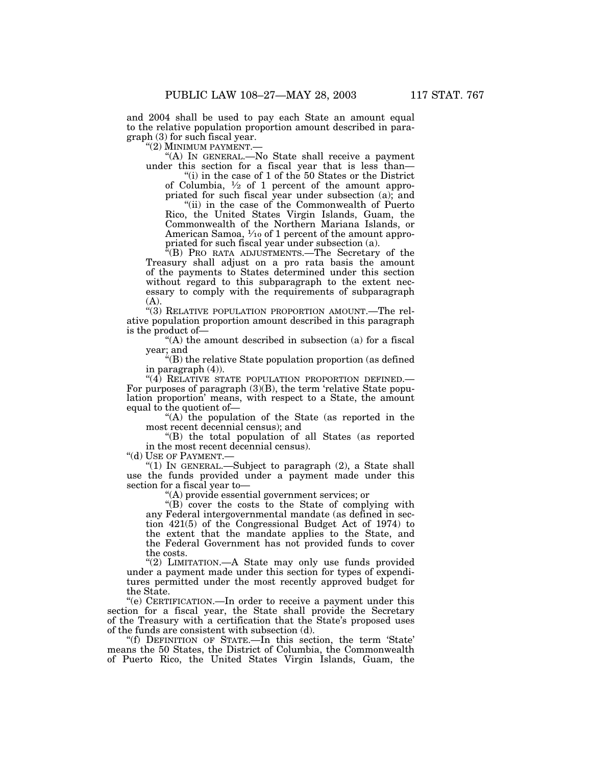and 2004 shall be used to pay each State an amount equal to the relative population proportion amount described in paragraph (3) for such fiscal year.

''(2) MINIMUM PAYMENT.—

"(A) IN GENERAL.—No State shall receive a payment under this section for a fiscal year that is less than—

''(i) in the case of 1 of the 50 States or the District of Columbia,  $\frac{1}{2}$  of 1 percent of the amount appropriated for such fiscal year under subsection (a); and "(ii) in the case of the Commonwealth of Puerto Rico, the United States Virgin Islands, Guam, the Commonwealth of the Northern Mariana Islands, or American Samoa,  $\frac{1}{10}$  of 1 percent of the amount appro-

priated for such fiscal year under subsection (a). ''(B) PRO RATA ADJUSTMENTS.—The Secretary of the

Treasury shall adjust on a pro rata basis the amount of the payments to States determined under this section without regard to this subparagraph to the extent necessary to comply with the requirements of subparagraph (A).

''(3) RELATIVE POPULATION PROPORTION AMOUNT.—The relative population proportion amount described in this paragraph is the product of—

 $(A)$  the amount described in subsection (a) for a fiscal year; and

''(B) the relative State population proportion (as defined in paragraph (4)).<br>"(4) RELATIVE STATE POPULATION PROPORTION DEFINED.—

For purposes of paragraph  $(3)(B)$ , the term 'relative State population proportion' means, with respect to a State, the amount equal to the quotient of—

"(A) the population of the State (as reported in the most recent decennial census); and

''(B) the total population of all States (as reported in the most recent decennial census).<br>"(d) USE OF PAYMENT.—

"(1) IN GENERAL.—Subject to paragraph  $(2)$ , a State shall use the funds provided under a payment made under this section for a fiscal year to—

''(A) provide essential government services; or

"(B) cover the costs to the State of complying with any Federal intergovernmental mandate (as defined in section 421(5) of the Congressional Budget Act of 1974) to the extent that the mandate applies to the State, and the Federal Government has not provided funds to cover the costs.

"(2) LIMITATION.—A State may only use funds provided under a payment made under this section for types of expenditures permitted under the most recently approved budget for the State.

''(e) CERTIFICATION.—In order to receive a payment under this section for a fiscal year, the State shall provide the Secretary of the Treasury with a certification that the State's proposed uses of the funds are consistent with subsection (d).

''(f) DEFINITION OF STATE.—In this section, the term 'State' means the 50 States, the District of Columbia, the Commonwealth of Puerto Rico, the United States Virgin Islands, Guam, the